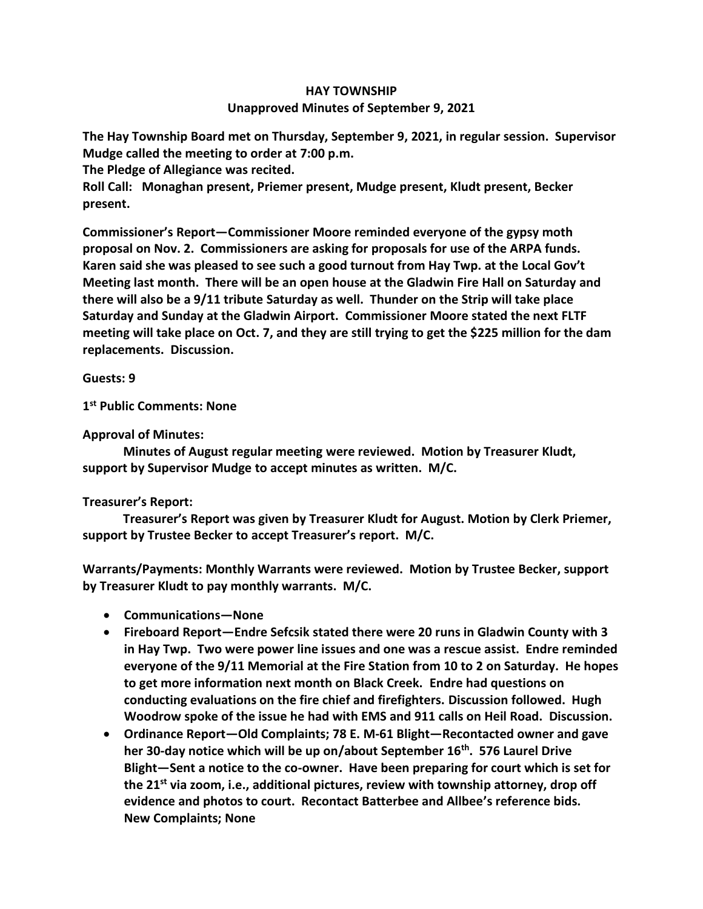## **HAY TOWNSHIP Unapproved Minutes of September 9, 2021**

**The Hay Township Board met on Thursday, September 9, 2021, in regular session. Supervisor Mudge called the meeting to order at 7:00 p.m.** 

**The Pledge of Allegiance was recited.** 

**Roll Call: Monaghan present, Priemer present, Mudge present, Kludt present, Becker present.**

**Commissioner's Report—Commissioner Moore reminded everyone of the gypsy moth proposal on Nov. 2. Commissioners are asking for proposals for use of the ARPA funds. Karen said she was pleased to see such a good turnout from Hay Twp. at the Local Gov't Meeting last month. There will be an open house at the Gladwin Fire Hall on Saturday and there will also be a 9/11 tribute Saturday as well. Thunder on the Strip will take place Saturday and Sunday at the Gladwin Airport. Commissioner Moore stated the next FLTF meeting will take place on Oct. 7, and they are still trying to get the \$225 million for the dam replacements. Discussion.**

**Guests: 9**

**1 st Public Comments: None**

**Approval of Minutes:**

 **Minutes of August regular meeting were reviewed. Motion by Treasurer Kludt, support by Supervisor Mudge to accept minutes as written. M/C.**

## **Treasurer's Report:**

 **Treasurer's Report was given by Treasurer Kludt for August. Motion by Clerk Priemer, support by Trustee Becker to accept Treasurer's report. M/C.**

**Warrants/Payments: Monthly Warrants were reviewed. Motion by Trustee Becker, support by Treasurer Kludt to pay monthly warrants. M/C.**

- **Communications—None**
- **Fireboard Report—Endre Sefcsik stated there were 20 runs in Gladwin County with 3 in Hay Twp. Two were power line issues and one was a rescue assist. Endre reminded everyone of the 9/11 Memorial at the Fire Station from 10 to 2 on Saturday. He hopes to get more information next month on Black Creek. Endre had questions on conducting evaluations on the fire chief and firefighters. Discussion followed. Hugh Woodrow spoke of the issue he had with EMS and 911 calls on Heil Road. Discussion.**
- **Ordinance Report—Old Complaints; 78 E. M-61 Blight—Recontacted owner and gave her 30-day notice which will be up on/about September 16th. 576 Laurel Drive Blight—Sent a notice to the co-owner. Have been preparing for court which is set for the 21st via zoom, i.e., additional pictures, review with township attorney, drop off evidence and photos to court. Recontact Batterbee and Allbee's reference bids. New Complaints; None**